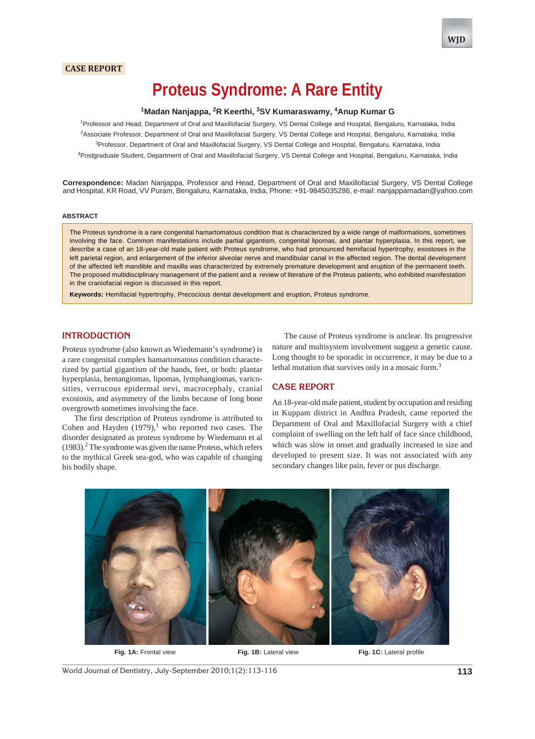## **CASE REPORT**

# **Proteus Syndrome: A Rare Entity**

## **1 Madan Nanjappa, 2 R Keerthi, 3 SV Kumaraswamy, 4 Anup Kumar G**

 Professor and Head, Department of Oral and Maxillofacial Surgery, VS Dental College and Hospital, Bengaluru, Karnataka, India Associate Professor, Department of Oral and Maxillofacial Surgery, VS Dental College and Hospital, Bengaluru, Karnataka, India <sup>3</sup>Professor, Department of Oral and Maxillofacial Surgery, VS Dental College and Hospital, Bengaluru, Karnataka, India Postgraduate Student, Department of Oral and Maxillofacial Surgery, VS Dental College and Hospital, Bengaluru, Karnataka, India

**Correspondence:** Madan Nanjappa, Professor and Head, Department of Oral and Maxillofacial Surgery, VS Dental College and Hospital, KR Road, VV Puram, Bengaluru, Karnataka, India, Phone: +91-9845035286, e-mail: nanjappamadan@yahoo.com

#### **ABSTRACT**

The Proteus syndrome is a rare congenital hamartomatous condition that is characterized by a wide range of malformations, sometimes involving the face. Common manifestations include partial gigantism, congenital lipomas, and plantar hyperplasia. In this report, we describe a case of an 18-year-old male patient with Proteus syndrome, who had pronounced hemifacial hypertrophy, exostoses in the left parietal region, and enlargement of the inferior alveolar nerve and mandibular canal in the affected region. The dental development of the affected left mandible and maxilla was characterized by extremely premature development and eruption of the permanent teeth. The proposed multidisciplinary management of the patient and a review of literature of the Proteus patients, who exhibited manifestation in the craniofacial region is discussed in this report.

**Keywords:** Hemifacial hypertrophy, Precocious dental development and eruption, Proteus syndrome.

## **INTRODUCTION**

Proteus syndrome (also known as Wiedemann's syndrome) is a rare congenital complex hamartomatous condition characterized by partial gigantism of the hands, feet, or both: plantar hyperplasia, hemangiomas, lipomas, lymphangiomas, varicosities, verrucous epidermal nevi, macrocephaly, cranial exostosis, and asymmetry of the limbs because of long bone overgrowth sometimes involving the face.

The first description of Proteus syndrome is attributed to Cohen and Hayden  $(1979)$ ,<sup>1</sup> who reported two cases. The disorder designated as proteus syndrome by Wiedemann et al  $(1983)$ .<sup>2</sup> The syndrome was given the name Proteus, which refers to the mythical Greek sea-god, who was capable of changing his bodily shape.

The cause of Proteus syndrome is unclear. Its progressive nature and multisystem involvement suggest a genetic cause. Long thought to be sporadic in occurrence, it may be due to a lethal mutation that survives only in a mosaic form.<sup>3</sup>

#### **CASE REPORT**

An 18-year-old male patient, student by occupation and residing in Kuppam district in Andhra Pradesh, came reported the Department of Oral and Maxillofacial Surgery with a chief complaint of swelling on the left half of face since childhood, which was slow in onset and gradually increased in size and developed to present size. It was not associated with any secondary changes like pain, fever or pus discharge.



**Fig. 1A:** Frontal view **Fig. 1B:** Lateral view **Fig. 1C:** Lateral profile

World Journal of Dentistry, July-September 2010;1(2):113-116 **113**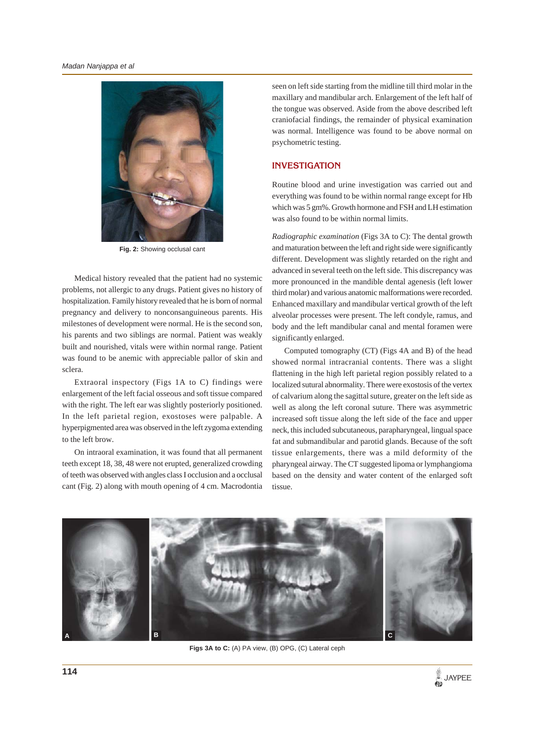

**Fig. 2:** Showing occlusal cant

Medical history revealed that the patient had no systemic problems, not allergic to any drugs. Patient gives no history of hospitalization. Family history revealed that he is born of normal pregnancy and delivery to nonconsanguineous parents. His milestones of development were normal. He is the second son, his parents and two siblings are normal. Patient was weakly built and nourished, vitals were within normal range. Patient was found to be anemic with appreciable pallor of skin and sclera.

Extraoral inspectory (Figs 1A to C) findings were enlargement of the left facial osseous and soft tissue compared with the right. The left ear was slightly posteriorly positioned. In the left parietal region, exostoses were palpable. A hyperpigmented area was observed in the left zygoma extending to the left brow.

On intraoral examination, it was found that all permanent teeth except 18, 38, 48 were not erupted, generalized crowding of teeth was observed with angles class I occlusion and a occlusal cant (Fig. 2) along with mouth opening of 4 cm. Macrodontia

seen on left side starting from the midline till third molar in the maxillary and mandibular arch. Enlargement of the left half of the tongue was observed. Aside from the above described left craniofacial findings, the remainder of physical examination was normal. Intelligence was found to be above normal on psychometric testing.

# **INVESTIGATION**

Routine blood and urine investigation was carried out and everything was found to be within normal range except for Hb which was 5 gm%. Growth hormone and FSH and LH estimation was also found to be within normal limits.

*Radiographic examination* (Figs 3A to C): The dental growth and maturation between the left and right side were significantly different. Development was slightly retarded on the right and advanced in several teeth on the left side. This discrepancy was more pronounced in the mandible dental agenesis (left lower third molar) and various anatomic malformations were recorded. Enhanced maxillary and mandibular vertical growth of the left alveolar processes were present. The left condyle, ramus, and body and the left mandibular canal and mental foramen were significantly enlarged.

Computed tomography (CT) (Figs 4A and B) of the head showed normal intracranial contents. There was a slight flattening in the high left parietal region possibly related to a localized sutural abnormality. There were exostosis of the vertex of calvarium along the sagittal suture, greater on the left side as well as along the left coronal suture. There was asymmetric increased soft tissue along the left side of the face and upper neck, this included subcutaneous, parapharyngeal, lingual space fat and submandibular and parotid glands. Because of the soft tissue enlargements, there was a mild deformity of the pharyngeal airway. The CT suggested lipoma or lymphangioma based on the density and water content of the enlarged soft tissue.



**Figs 3A to C:** (A) PA view, (B) OPG, (C) Lateral ceph

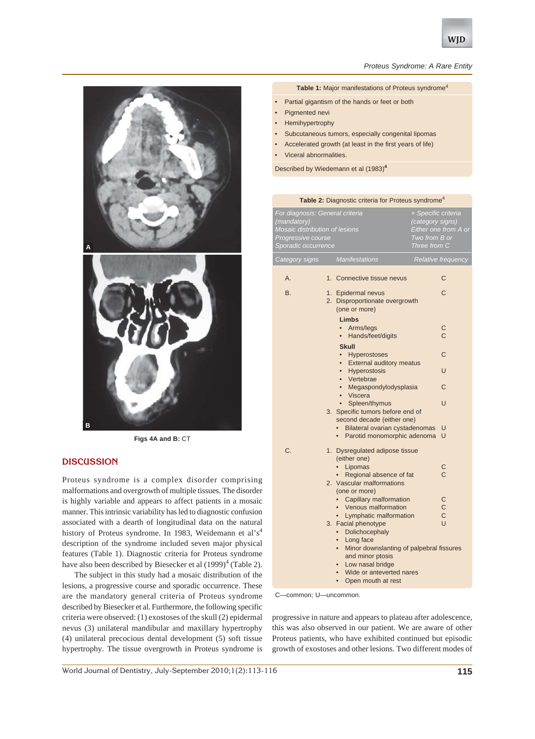

#### *Proteus Syndrome: A Rare Entity*

#### Table 1: Major manifestations of Proteus syndrome<sup>4</sup>

- Partial gigantism of the hands or feet or both
- Pigmented nevi
- **Hemihypertrophy**
- Subcutaneous tumors, especially congenital lipomas
- Accelerated growth (at least in the first years of life)
- Viceral abnormalities.

Described by Wiedemann et al (1983)**<sup>4</sup>**

| Table 2: Diagnostic criteria for Proteus syndrome <sup>4</sup>                                                                |    |                                                                                                     |                                                                                                  |                    |  |
|-------------------------------------------------------------------------------------------------------------------------------|----|-----------------------------------------------------------------------------------------------------|--------------------------------------------------------------------------------------------------|--------------------|--|
| For diagnosis: General criteria<br>(mandatory)<br>Mosaic distribution of lesions<br>Progressive course<br>Sporadic occurrence |    |                                                                                                     | + Specific criteria<br>(category signs)<br>Either one from A or<br>Two from B or<br>Three from C |                    |  |
| Category signs                                                                                                                |    | <b>Manifestations</b>                                                                               |                                                                                                  | Relative frequency |  |
| A.                                                                                                                            |    | 1. Connective tissue nevus                                                                          |                                                                                                  | C                  |  |
| <b>B.</b>                                                                                                                     |    | 1. Epidermal nevus<br>2. Disproportionate overgrowth<br>(one or more)<br><b>Limbs</b>               |                                                                                                  | C                  |  |
|                                                                                                                               |    | Arms/legs<br>$\bullet$<br>Hands/feet/digits<br>$\bullet$                                            |                                                                                                  | C<br>C             |  |
|                                                                                                                               |    | <b>Skull</b><br>Hyperostoses<br>$\bullet$                                                           |                                                                                                  | С                  |  |
|                                                                                                                               |    | <b>External auditory meatus</b><br>$\bullet$<br>Hyperostosis<br>$\bullet$<br>Vertebrae<br>$\bullet$ |                                                                                                  | U                  |  |
|                                                                                                                               |    | Megaspondylodysplasia<br>$\bullet$<br>Viscera<br>$\bullet$                                          |                                                                                                  | C                  |  |
|                                                                                                                               |    | Spleen/thymus<br>3. Specific tumors before end of<br>second decade (either one)                     |                                                                                                  | U                  |  |
|                                                                                                                               |    | Bilateral ovarian cystadenomas                                                                      |                                                                                                  | U                  |  |
|                                                                                                                               |    | Parotid monomorphic adenoma<br>$\bullet$                                                            |                                                                                                  | U                  |  |
| C.                                                                                                                            | 1. | Dysregulated adipose tissue<br>(either one)                                                         |                                                                                                  |                    |  |
|                                                                                                                               |    | Lipomas<br>$\bullet$                                                                                |                                                                                                  | С                  |  |
|                                                                                                                               |    | Regional absence of fat<br>2. Vascular malformations<br>(one or more)                               |                                                                                                  | Ć                  |  |
|                                                                                                                               |    | • Capillary malformation                                                                            |                                                                                                  | С                  |  |
|                                                                                                                               |    | • Venous malformation                                                                               |                                                                                                  | $\mathsf{C}$       |  |
|                                                                                                                               |    | • Lymphatic malformation                                                                            |                                                                                                  | C                  |  |
|                                                                                                                               |    | 3. Facial phenotype<br>Dolichocephaly<br>Long face<br>$\bullet$                                     |                                                                                                  | U                  |  |
|                                                                                                                               |    | Minor downslanting of palpebral fissures<br>and minor ptosis                                        |                                                                                                  |                    |  |
|                                                                                                                               |    | Low nasal bridge                                                                                    |                                                                                                  |                    |  |
|                                                                                                                               |    | Wide or anteverted nares<br>$\bullet$                                                               |                                                                                                  |                    |  |
|                                                                                                                               |    | Open mouth at rest<br>$\bullet$                                                                     |                                                                                                  |                    |  |

C—common; U—uncommon.

progressive in nature and appears to plateau after adolescence, this was also observed in our patient. We are aware of other Proteus patients, who have exhibited continued but episodic growth of exostoses and other lesions. Two different modes of



# **DISCUSSION**

Proteus syndrome is a complex disorder comprising malformations and overgrowth of multiple tissues. The disorder is highly variable and appears to affect patients in a mosaic manner. This intrinsic variability has led to diagnostic confusion associated with a dearth of longitudinal data on the natural history of Proteus syndrome. In 1983, Weidemann et al's<sup>4</sup> description of the syndrome included seven major physical features (Table 1). Diagnostic criteria for Proteus syndrome have also been described by Biesecker et al  $(1999)^4$  (Table 2).

The subject in this study had a mosaic distribution of the lesions, a progressive course and sporadic occurrence. These are the mandatory general criteria of Proteus syndrome described by Biesecker et al. Furthermore, the following specific criteria were observed: (1) exostoses of the skull (2) epidermal nevus (3) unilateral mandibular and maxillary hypertrophy (4) unilateral precocious dental development (5) soft tissue hypertrophy. The tissue overgrowth in Proteus syndrome is

World Journal of Dentistry, July-September 2010;1(2):113-116 **115**